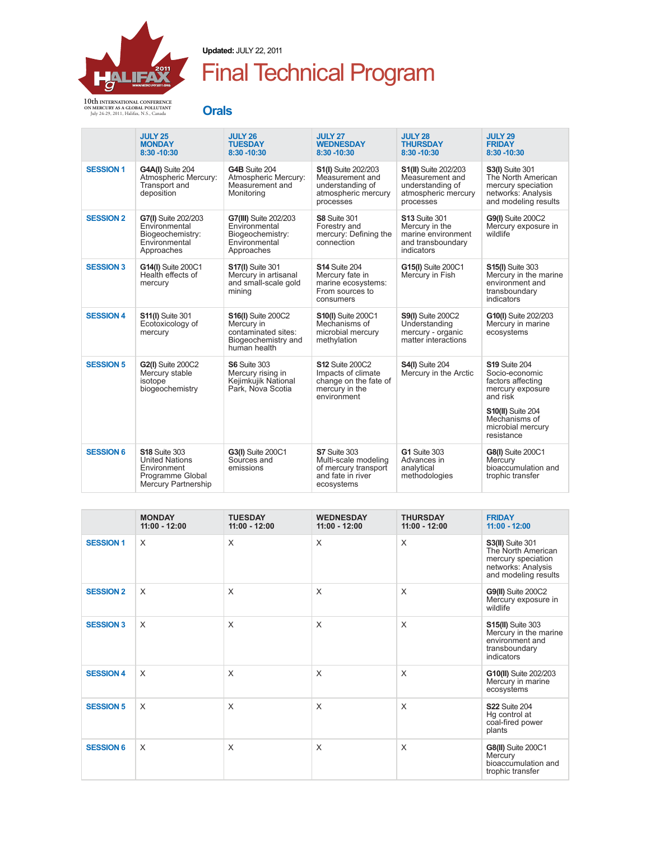

**Updated:** JULY 22, 2011

## Final Technical Program

**10th INTERNATIONAL CONFERENCE ON MERCURY AS A GLOBAL POLLUTANT**  July 24-29, 2011, Halifax, N.S., Canada

| 각 사진<br>w<br>٧<br>. .<br>۰.<br>. .<br>- 3 |
|-------------------------------------------|
|-------------------------------------------|

|                  | <b>JULY 25</b><br><b>MONDAY</b><br>8:30 - 10:30                                                                | <b>JULY 26</b><br><b>TUESDAY</b><br>8:30 - 10:30                                                      | <b>JULY 27</b><br><b>WEDNESDAY</b><br>8:30 - 10:30                                                     | <b>JULY 28</b><br><b>THURSDAY</b><br>8:30 - 10:30                                                      | <b>JULY 29</b><br><b>FRIDAY</b><br>8:30 - 10:30                                                                                                                             |
|------------------|----------------------------------------------------------------------------------------------------------------|-------------------------------------------------------------------------------------------------------|--------------------------------------------------------------------------------------------------------|--------------------------------------------------------------------------------------------------------|-----------------------------------------------------------------------------------------------------------------------------------------------------------------------------|
| <b>SESSION 1</b> | G4A(I) Suite 204<br>Atmospheric Mercury:<br>Transport and<br>deposition                                        | G4B Suite 204<br>Atmospheric Mercury:<br>Measurement and<br>Monitoring                                | <b>S1(I)</b> Suite 202/203<br>Measurement and<br>understanding of<br>atmospheric mercury<br>processes  | <b>S1(II)</b> Suite 202/203<br>Measurement and<br>understanding of<br>atmospheric mercury<br>processes | <b>S3(I)</b> Suite 301<br>The North American<br>mercury speciation<br>networks: Analysis<br>and modeling results                                                            |
| <b>SESSION 2</b> | G7(I) Suite 202/203<br>Environmental<br>Biogeochemistry:<br>Environmental<br>Approaches                        | G7(III) Suite 202/203<br>Environmental<br>Biogeochemistry:<br>Environmental<br>Approaches             | <b>S8 Suite 301</b><br>Forestry and<br>mercury: Defining the<br>connection                             | <b>S13 Suite 301</b><br>Mercury in the<br>marine environment<br>and transboundary<br>indicators        | <b>G9(I)</b> Suite 200C2<br>Mercury exposure in<br>wildlife                                                                                                                 |
| <b>SESSION 3</b> | G14(I) Suite 200C1<br>Health effects of<br>mercury                                                             | <b>S17(I)</b> Suite 301<br>Mercury in artisanal<br>and small-scale gold<br>mining                     | <b>S14 Suite 204</b><br>Mercury fate in<br>marine ecosystems:<br>From sources to<br>consumers          | G15(I) Suite 200C1<br>Mercury in Fish                                                                  | <b>S15(I)</b> Suite 303<br>Mercury in the marine<br>environment and<br>transboundary<br>indicators                                                                          |
| <b>SESSION 4</b> | <b>S11(I)</b> Suite 301<br>Ecotoxicology of<br>mercury                                                         | <b>S16(I)</b> Suite 200C2<br>Mercury in<br>contaminated sites:<br>Biogeochemistry and<br>human health | <b>S10(I)</b> Suite 200C1<br>Mechanisms of<br>microbial mercury<br>methylation                         | <b>S9(I)</b> Suite 200C2<br>Understanding<br>mercury - organic<br>matter interactions                  | G10(I) Suite 202/203<br>Mercury in marine<br>ecosystems                                                                                                                     |
| <b>SESSION 5</b> | <b>G2(I)</b> Suite 200C2<br>Mercury stable<br>isotope<br>biogeochemistry                                       | <b>S6 Suite 303</b><br>Mercury rising in<br>Kejimkujik National<br>Park. Nova Scotia                  | <b>S12 Suite 200C2</b><br>Impacts of climate<br>change on the fate of<br>mercury in the<br>environment | <b>S4(I)</b> Suite 204<br>Mercury in the Arctic                                                        | <b>S19 Suite 204</b><br>Socio-economic<br>factors affecting<br>mercury exposure<br>and risk<br><b>S10(II)</b> Suite 204<br>Mechanisms of<br>microbial mercury<br>resistance |
| <b>SESSION 6</b> | <b>S18 Suite 303</b><br><b>United Nations</b><br>Environment<br>Programme Global<br><b>Mercury Partnership</b> | G3(I) Suite 200C1<br>Sources and<br>emissions                                                         | S7 Suite 303<br>Multi-scale modeling<br>of mercury transport<br>and fate in river<br>ecosystems        | <b>G1 Suite 303</b><br>Advances in<br>analytical<br>methodologies                                      | G8(I) Suite 200C1<br>Mercury<br>bioaccumulation and<br>trophic transfer                                                                                                     |

|                  | <b>MONDAY</b><br>$11:00 - 12:00$ | <b>TUESDAY</b><br>$11:00 - 12:00$ | <b>WEDNESDAY</b><br>$11:00 - 12:00$ | <b>THURSDAY</b><br>$11:00 - 12:00$ | <b>FRIDAY</b><br>$11:00 - 12:00$                                                                                  |
|------------------|----------------------------------|-----------------------------------|-------------------------------------|------------------------------------|-------------------------------------------------------------------------------------------------------------------|
| <b>SESSION 1</b> | $\times$                         | X                                 | $\times$                            | $\times$                           | <b>S3(II)</b> Suite 301<br>The North American<br>mercury speciation<br>networks: Analysis<br>and modeling results |
| <b>SESSION 2</b> | $\times$                         | X                                 | X                                   | X                                  | <b>G9(II)</b> Suite 200C2<br>Mercury exposure in<br>wildlife                                                      |
| <b>SESSION 3</b> | $\times$                         | X                                 | X                                   | X                                  | <b>S15(II)</b> Suite 303<br>Mercury in the marine<br>environment and<br>transboundary<br>indicators               |
| <b>SESSION 4</b> | $\times$                         | X                                 | X                                   | X                                  | G10(II) Suite 202/203<br>Mercury in marine<br>ecosystems                                                          |
| <b>SESSION 5</b> | $\times$                         | X                                 | X                                   | X                                  | <b>S22 Suite 204</b><br>Hg control at<br>coal-fired power<br>plants                                               |
| <b>SESSION 6</b> | $\times$                         | X                                 | X                                   | X                                  | <b>G8(II)</b> Suite 200C1<br>Mercury<br>bioaccumulation and<br>trophic transfer                                   |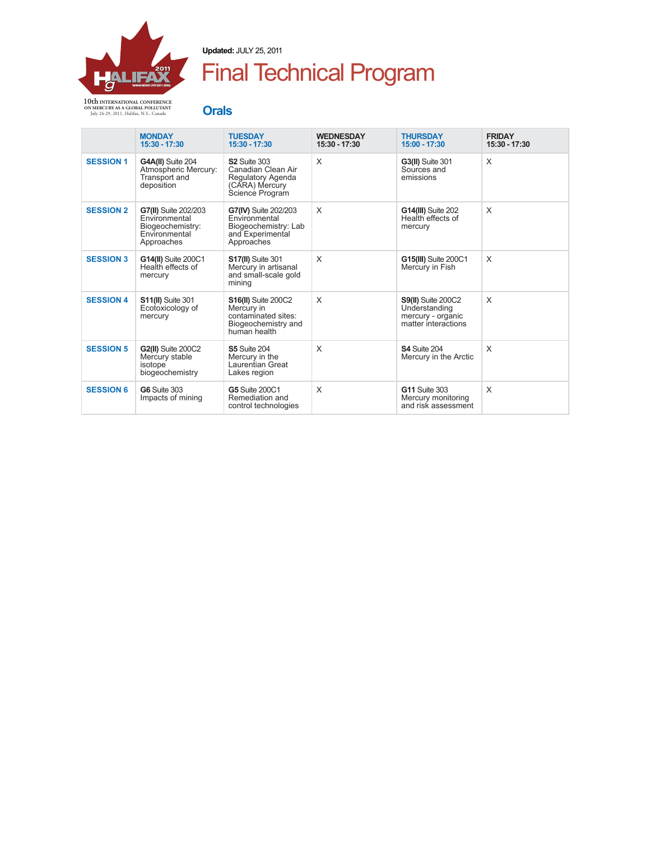

**Updated:** JULY 25, 2011

## Final Technical Program

**Orals**

|                  | <b>MONDAY</b><br>$15:30 - 17:30$                                                         | <b>TUESDAY</b><br>$15:30 - 17:30$                                                                      | <b>WEDNESDAY</b><br>15:30 - 17:30 | <b>THURSDAY</b><br>$15:00 - 17:30$                                                     | <b>FRIDAY</b><br>15:30 - 17:30 |
|------------------|------------------------------------------------------------------------------------------|--------------------------------------------------------------------------------------------------------|-----------------------------------|----------------------------------------------------------------------------------------|--------------------------------|
| <b>SESSION 1</b> | G4A(II) Suite 204<br>Atmospheric Mercury:<br><b>Transport and</b><br>deposition          | <b>S2 Suite 303</b><br>Canadian Clean Air<br>Regulatory Agenda<br>(CARA) Mercury<br>Science Program    | X                                 | <b>G3(II)</b> Suite 301<br>Sources and<br>emissions                                    | X                              |
| <b>SESSION 2</b> | G7(II) Suite 202/203<br>Environmental<br>Biogeochemistry:<br>Environmental<br>Approaches | G7(IV) Suite 202/203<br>Environmental<br>Biogeochemistry: Lab<br>and Experimental<br>Approaches        | X                                 | <b>G14(III)</b> Suite 202<br>Health effects of<br>mercury                              | X                              |
| <b>SESSION 3</b> | G14(II) Suite 200C1<br>Health effects of<br>mercury                                      | <b>S17(II)</b> Suite 301<br>Mercury in artisanal<br>and small-scale gold<br>mining                     | X                                 | <b>G15(III)</b> Suite 200C1<br>Mercury in Fish                                         | X                              |
| <b>SESSION 4</b> | <b>S11(II)</b> Suite 301<br>Ecotoxicology of<br>mercury                                  | <b>S16(II)</b> Suite 200C2<br>Mercury in<br>contaminated sites:<br>Biogeochemistry and<br>human health | X                                 | <b>S9(II)</b> Suite 200C2<br>Understanding<br>mercury - organic<br>matter interactions | X                              |
| <b>SESSION 5</b> | <b>G2(II)</b> Suite 200C2<br>Mercury stable<br>isotope<br>biogeochemistry                | <b>S5 Suite 204</b><br>Mercury in the<br>Laurentian Great<br>Lakes region                              | X                                 | S4 Suite 204<br>Mercury in the Arctic                                                  | X                              |
| <b>SESSION 6</b> | <b>G6</b> Suite 303<br>Impacts of mining                                                 | <b>G5 Suite 200C1</b><br>Remediation and<br>control technologies                                       | X                                 | <b>G11 Suite 303</b><br>Mercury monitoring<br>and risk assessment                      | X                              |